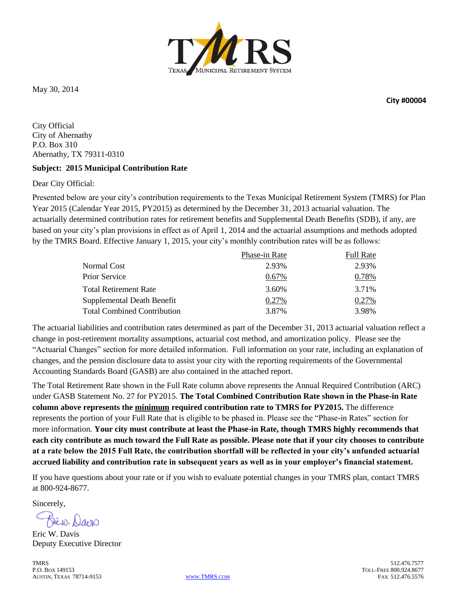

May 30, 2014

**City #00004**

City Official City of Abernathy P.O. Box 310 Abernathy, TX 79311-0310

#### **Subject: 2015 Municipal Contribution Rate**

Dear City Official:

Presented below are your city's contribution requirements to the Texas Municipal Retirement System (TMRS) for Plan Year 2015 (Calendar Year 2015, PY2015) as determined by the December 31, 2013 actuarial valuation. The actuarially determined contribution rates for retirement benefits and Supplemental Death Benefits (SDB), if any, are based on your city's plan provisions in effect as of April 1, 2014 and the actuarial assumptions and methods adopted by the TMRS Board. Effective January 1, 2015, your city's monthly contribution rates will be as follows:

|                                    | Phase-in Rate | <b>Full Rate</b> |
|------------------------------------|---------------|------------------|
| Normal Cost                        | 2.93%         | 2.93%            |
| Prior Service                      | 0.67%         | 0.78%            |
| Total Retirement Rate              | 3.60%         | 3.71%            |
| Supplemental Death Benefit         | 0.27%         | 0.27%            |
| <b>Total Combined Contribution</b> | 3.87%         | 3.98%            |

The actuarial liabilities and contribution rates determined as part of the December 31, 2013 actuarial valuation reflect a change in post-retirement mortality assumptions, actuarial cost method, and amortization policy. Please see the "Actuarial Changes" section for more detailed information. Full information on your rate, including an explanation of changes, and the pension disclosure data to assist your city with the reporting requirements of the Governmental Accounting Standards Board (GASB) are also contained in the attached report.

The Total Retirement Rate shown in the Full Rate column above represents the Annual Required Contribution (ARC) under GASB Statement No. 27 for PY2015. **The Total Combined Contribution Rate shown in the Phase-in Rate column above represents the minimum required contribution rate to TMRS for PY2015.** The difference represents the portion of your Full Rate that is eligible to be phased in. Please see the "Phase-in Rates" section for more information. **Your city must contribute at least the Phase-in Rate, though TMRS highly recommends that each city contribute as much toward the Full Rate as possible. Please note that if your city chooses to contribute at a rate below the 2015 Full Rate, the contribution shortfall will be reflected in your city's unfunded actuarial accrued liability and contribution rate in subsequent years as well as in your employer's financial statement.** 

If you have questions about your rate or if you wish to evaluate potential changes in your TMRS plan, contact TMRS at 800-924-8677.

Sincerely,

Bicio. Davo

Eric W. Davis Deputy Executive Director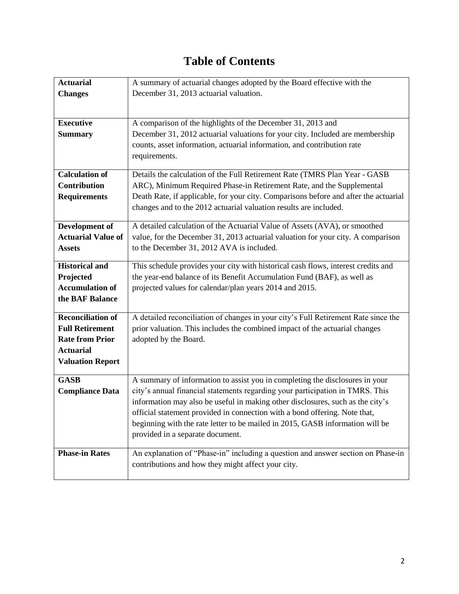# **Table of Contents**

| <b>Actuarial</b>          | A summary of actuarial changes adopted by the Board effective with the               |
|---------------------------|--------------------------------------------------------------------------------------|
| <b>Changes</b>            | December 31, 2013 actuarial valuation.                                               |
|                           |                                                                                      |
|                           |                                                                                      |
| <b>Executive</b>          | A comparison of the highlights of the December 31, 2013 and                          |
| <b>Summary</b>            | December 31, 2012 actuarial valuations for your city. Included are membership        |
|                           | counts, asset information, actuarial information, and contribution rate              |
|                           | requirements.                                                                        |
|                           |                                                                                      |
| <b>Calculation of</b>     | Details the calculation of the Full Retirement Rate (TMRS Plan Year - GASB           |
| <b>Contribution</b>       | ARC), Minimum Required Phase-in Retirement Rate, and the Supplemental                |
| <b>Requirements</b>       | Death Rate, if applicable, for your city. Comparisons before and after the actuarial |
|                           | changes and to the 2012 actuarial valuation results are included.                    |
|                           |                                                                                      |
| Development of            | A detailed calculation of the Actuarial Value of Assets (AVA), or smoothed           |
| <b>Actuarial Value of</b> | value, for the December 31, 2013 actuarial valuation for your city. A comparison     |
| <b>Assets</b>             | to the December 31, 2012 AVA is included.                                            |
| <b>Historical and</b>     | This schedule provides your city with historical cash flows, interest credits and    |
| Projected                 | the year-end balance of its Benefit Accumulation Fund (BAF), as well as              |
| <b>Accumulation of</b>    | projected values for calendar/plan years 2014 and 2015.                              |
| the BAF Balance           |                                                                                      |
|                           |                                                                                      |
| <b>Reconciliation of</b>  | A detailed reconciliation of changes in your city's Full Retirement Rate since the   |
| <b>Full Retirement</b>    | prior valuation. This includes the combined impact of the actuarial changes          |
| <b>Rate from Prior</b>    | adopted by the Board.                                                                |
| <b>Actuarial</b>          |                                                                                      |
| <b>Valuation Report</b>   |                                                                                      |
|                           |                                                                                      |
| <b>GASB</b>               | A summary of information to assist you in completing the disclosures in your         |
| <b>Compliance Data</b>    | city's annual financial statements regarding your participation in TMRS. This        |
|                           | information may also be useful in making other disclosures, such as the city's       |
|                           | official statement provided in connection with a bond offering. Note that,           |
|                           | beginning with the rate letter to be mailed in 2015, GASB information will be        |
|                           | provided in a separate document.                                                     |
| <b>Phase-in Rates</b>     |                                                                                      |
|                           | An explanation of "Phase-in" including a question and answer section on Phase-in     |
|                           | contributions and how they might affect your city.                                   |
|                           |                                                                                      |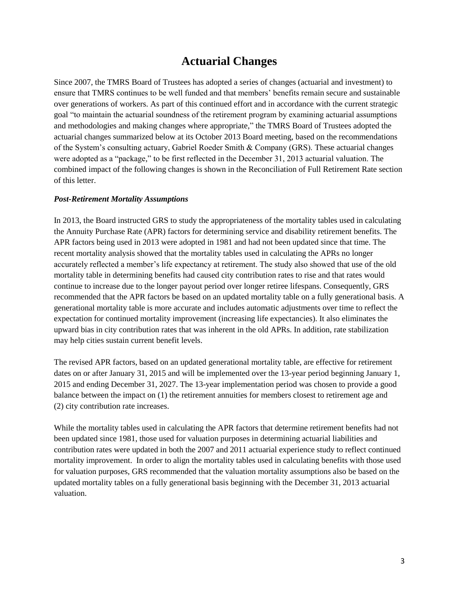# **Actuarial Changes**

Since 2007, the TMRS Board of Trustees has adopted a series of changes (actuarial and investment) to ensure that TMRS continues to be well funded and that members' benefits remain secure and sustainable over generations of workers. As part of this continued effort and in accordance with the current strategic goal "to maintain the actuarial soundness of the retirement program by examining actuarial assumptions and methodologies and making changes where appropriate," the TMRS Board of Trustees adopted the actuarial changes summarized below at its October 2013 Board meeting, based on the recommendations of the System's consulting actuary, Gabriel Roeder Smith & Company (GRS). These actuarial changes were adopted as a "package," to be first reflected in the December 31, 2013 actuarial valuation. The combined impact of the following changes is shown in the Reconciliation of Full Retirement Rate section of this letter.

#### *Post-Retirement Mortality Assumptions*

In 2013, the Board instructed GRS to study the appropriateness of the mortality tables used in calculating the Annuity Purchase Rate (APR) factors for determining service and disability retirement benefits. The APR factors being used in 2013 were adopted in 1981 and had not been updated since that time. The recent mortality analysis showed that the mortality tables used in calculating the APRs no longer accurately reflected a member's life expectancy at retirement. The study also showed that use of the old mortality table in determining benefits had caused city contribution rates to rise and that rates would continue to increase due to the longer payout period over longer retiree lifespans. Consequently, GRS recommended that the APR factors be based on an updated mortality table on a fully generational basis. A generational mortality table is more accurate and includes automatic adjustments over time to reflect the expectation for continued mortality improvement (increasing life expectancies). It also eliminates the upward bias in city contribution rates that was inherent in the old APRs. In addition, rate stabilization may help cities sustain current benefit levels.

The revised APR factors, based on an updated generational mortality table, are effective for retirement dates on or after January 31, 2015 and will be implemented over the 13-year period beginning January 1, 2015 and ending December 31, 2027. The 13-year implementation period was chosen to provide a good balance between the impact on (1) the retirement annuities for members closest to retirement age and (2) city contribution rate increases.

While the mortality tables used in calculating the APR factors that determine retirement benefits had not been updated since 1981, those used for valuation purposes in determining actuarial liabilities and contribution rates were updated in both the 2007 and 2011 actuarial experience study to reflect continued mortality improvement. In order to align the mortality tables used in calculating benefits with those used for valuation purposes, GRS recommended that the valuation mortality assumptions also be based on the updated mortality tables on a fully generational basis beginning with the December 31, 2013 actuarial valuation.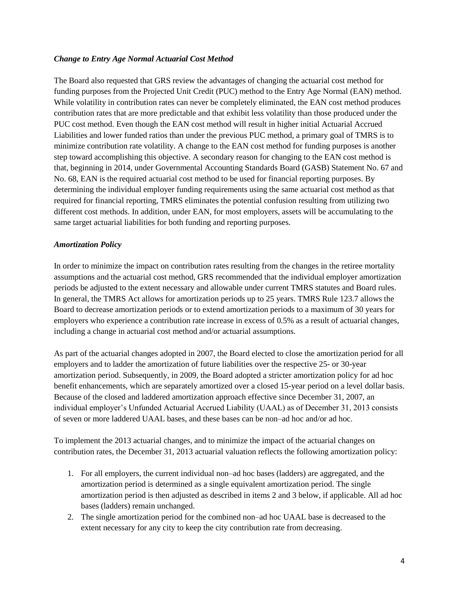#### *Change to Entry Age Normal Actuarial Cost Method*

The Board also requested that GRS review the advantages of changing the actuarial cost method for funding purposes from the Projected Unit Credit (PUC) method to the Entry Age Normal (EAN) method. While volatility in contribution rates can never be completely eliminated, the EAN cost method produces contribution rates that are more predictable and that exhibit less volatility than those produced under the PUC cost method. Even though the EAN cost method will result in higher initial Actuarial Accrued Liabilities and lower funded ratios than under the previous PUC method, a primary goal of TMRS is to minimize contribution rate volatility. A change to the EAN cost method for funding purposes is another step toward accomplishing this objective. A secondary reason for changing to the EAN cost method is that, beginning in 2014, under Governmental Accounting Standards Board (GASB) Statement No. 67 and No. 68, EAN is the required actuarial cost method to be used for financial reporting purposes. By determining the individual employer funding requirements using the same actuarial cost method as that required for financial reporting, TMRS eliminates the potential confusion resulting from utilizing two different cost methods. In addition, under EAN, for most employers, assets will be accumulating to the same target actuarial liabilities for both funding and reporting purposes.

#### *Amortization Policy*

In order to minimize the impact on contribution rates resulting from the changes in the retiree mortality assumptions and the actuarial cost method, GRS recommended that the individual employer amortization periods be adjusted to the extent necessary and allowable under current TMRS statutes and Board rules. In general, the TMRS Act allows for amortization periods up to 25 years. TMRS Rule 123.7 allows the Board to decrease amortization periods or to extend amortization periods to a maximum of 30 years for employers who experience a contribution rate increase in excess of 0.5% as a result of actuarial changes, including a change in actuarial cost method and/or actuarial assumptions.

As part of the actuarial changes adopted in 2007, the Board elected to close the amortization period for all employers and to ladder the amortization of future liabilities over the respective 25- or 30-year amortization period. Subsequently, in 2009, the Board adopted a stricter amortization policy for ad hoc benefit enhancements, which are separately amortized over a closed 15-year period on a level dollar basis. Because of the closed and laddered amortization approach effective since December 31, 2007, an individual employer's Unfunded Actuarial Accrued Liability (UAAL) as of December 31, 2013 consists of seven or more laddered UAAL bases, and these bases can be non–ad hoc and/or ad hoc.

To implement the 2013 actuarial changes, and to minimize the impact of the actuarial changes on contribution rates, the December 31, 2013 actuarial valuation reflects the following amortization policy:

- 1. For all employers, the current individual non–ad hoc bases (ladders) are aggregated, and the amortization period is determined as a single equivalent amortization period. The single amortization period is then adjusted as described in items 2 and 3 below, if applicable. All ad hoc bases (ladders) remain unchanged.
- 2. The single amortization period for the combined non–ad hoc UAAL base is decreased to the extent necessary for any city to keep the city contribution rate from decreasing.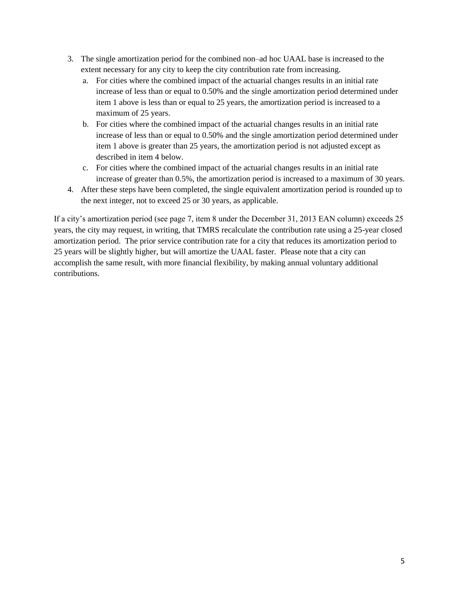- 3. The single amortization period for the combined non–ad hoc UAAL base is increased to the extent necessary for any city to keep the city contribution rate from increasing.
	- a. For cities where the combined impact of the actuarial changes results in an initial rate increase of less than or equal to 0.50% and the single amortization period determined under item 1 above is less than or equal to 25 years, the amortization period is increased to a maximum of 25 years.
	- b. For cities where the combined impact of the actuarial changes results in an initial rate increase of less than or equal to 0.50% and the single amortization period determined under item 1 above is greater than 25 years, the amortization period is not adjusted except as described in item 4 below.
	- c. For cities where the combined impact of the actuarial changes results in an initial rate increase of greater than 0.5%, the amortization period is increased to a maximum of 30 years.
- 4. After these steps have been completed, the single equivalent amortization period is rounded up to the next integer, not to exceed 25 or 30 years, as applicable.

If a city's amortization period (see page 7, item 8 under the December 31, 2013 EAN column) exceeds 25 years, the city may request, in writing, that TMRS recalculate the contribution rate using a 25-year closed amortization period. The prior service contribution rate for a city that reduces its amortization period to 25 years will be slightly higher, but will amortize the UAAL faster. Please note that a city can accomplish the same result, with more financial flexibility, by making annual voluntary additional contributions.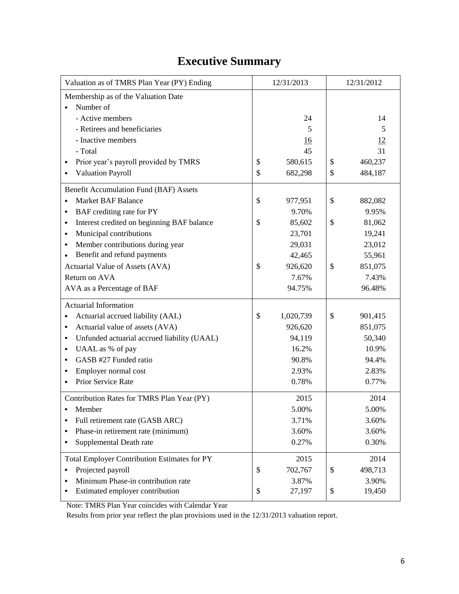# **Executive Summary**

| Valuation as of TMRS Plan Year (PY) Ending               | 12/31/2013      | 12/31/2012 |           |  |
|----------------------------------------------------------|-----------------|------------|-----------|--|
| Membership as of the Valuation Date                      |                 |            |           |  |
| Number of                                                |                 |            |           |  |
| - Active members                                         | 24              |            | 14        |  |
| - Retirees and beneficiaries                             | 5               |            | 5         |  |
| - Inactive members                                       | <u>16</u>       |            | <u>12</u> |  |
| - Total                                                  | 45              |            | 31        |  |
| Prior year's payroll provided by TMRS                    | \$<br>580,615   | \$         | 460,237   |  |
| <b>Valuation Payroll</b><br>$\bullet$                    | \$<br>682,298   | \$         | 484,187   |  |
| Benefit Accumulation Fund (BAF) Assets                   |                 |            |           |  |
| <b>Market BAF Balance</b>                                | \$<br>977,951   | \$         | 882,082   |  |
| BAF crediting rate for PY<br>$\bullet$                   | 9.70%           |            | 9.95%     |  |
| Interest credited on beginning BAF balance<br>$\bullet$  | \$<br>85,602    | \$         | 81,062    |  |
| Municipal contributions<br>$\bullet$                     | 23,701          |            | 19,241    |  |
| Member contributions during year<br>$\bullet$            | 29,031          |            | 23,012    |  |
| Benefit and refund payments                              | 42,465          |            | 55,961    |  |
| Actuarial Value of Assets (AVA)                          | \$<br>926,620   | \$         | 851,075   |  |
| Return on AVA                                            | 7.67%           |            | 7.43%     |  |
| AVA as a Percentage of BAF                               | 94.75%          |            | 96.48%    |  |
| <b>Actuarial Information</b>                             |                 |            |           |  |
| Actuarial accrued liability (AAL)                        | \$<br>1,020,739 | \$         | 901,415   |  |
| Actuarial value of assets (AVA)<br>$\bullet$             | 926,620         |            | 851,075   |  |
| Unfunded actuarial accrued liability (UAAL)<br>$\bullet$ | 94,119          |            | 50,340    |  |
| UAAL as % of pay<br>$\bullet$                            | 16.2%           |            | 10.9%     |  |
| GASB #27 Funded ratio<br>$\bullet$                       | 90.8%           |            | 94.4%     |  |
| Employer normal cost<br>$\bullet$                        | 2.93%           |            | 2.83%     |  |
| Prior Service Rate                                       | 0.78%           |            | 0.77%     |  |
| Contribution Rates for TMRS Plan Year (PY)               | 2015            |            | 2014      |  |
| Member<br>٠                                              | 5.00%           |            | 5.00%     |  |
| Full retirement rate (GASB ARC)<br>$\bullet$             | 3.71%           |            | 3.60%     |  |
| Phase-in retirement rate (minimum)<br>$\bullet$          | 3.60%           |            | 3.60%     |  |
| Supplemental Death rate<br>$\bullet$                     | 0.27%           |            | 0.30%     |  |
| <b>Total Employer Contribution Estimates for PY</b>      | 2015            |            | 2014      |  |
| Projected payroll<br>$\bullet$                           | \$<br>702,767   | \$         | 498,713   |  |
| Minimum Phase-in contribution rate                       | 3.87%           |            | 3.90%     |  |
| Estimated employer contribution                          | \$<br>27,197    | \$         | 19,450    |  |

Note: TMRS Plan Year coincides with Calendar Year

Results from prior year reflect the plan provisions used in the 12/31/2013 valuation report.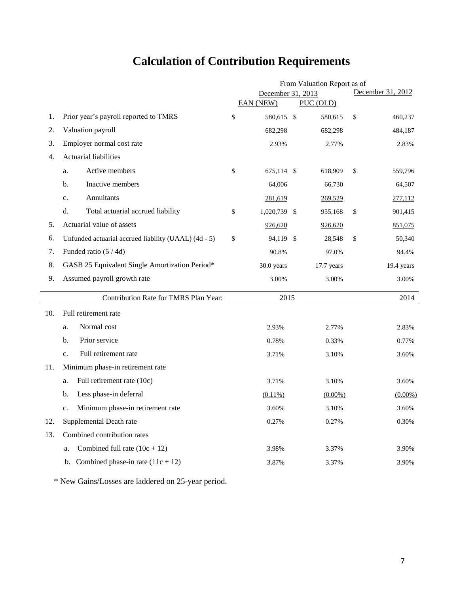# **Calculation of Contribution Requirements**

|     |                                                      | From Valuation Report as of |  |            |    |                   |  |  |
|-----|------------------------------------------------------|-----------------------------|--|------------|----|-------------------|--|--|
|     |                                                      | December 31, 2013           |  |            |    | December 31, 2012 |  |  |
|     |                                                      | <b>EAN (NEW)</b>            |  | PUC (OLD)  |    |                   |  |  |
| 1.  | Prior year's payroll reported to TMRS                | \$<br>580,615 \$            |  | 580,615    | \$ | 460,237           |  |  |
| 2.  | Valuation payroll                                    | 682,298                     |  | 682,298    |    | 484,187           |  |  |
| 3.  | Employer normal cost rate                            | 2.93%                       |  | 2.77%      |    | 2.83%             |  |  |
| 4.  | Actuarial liabilities                                |                             |  |            |    |                   |  |  |
|     | Active members<br>a.                                 | \$<br>675,114 \$            |  | 618,909    | \$ | 559,796           |  |  |
|     | b.<br>Inactive members                               | 64,006                      |  | 66,730     |    | 64,507            |  |  |
|     | Annuitants<br>$\mathbf{c}$ .                         | 281,619                     |  | 269,529    |    | 277,112           |  |  |
|     | Total actuarial accrued liability<br>d.              | \$<br>1,020,739 \$          |  | 955,168    | \$ | 901,415           |  |  |
| 5.  | Actuarial value of assets                            | 926,620                     |  | 926,620    |    | 851,075           |  |  |
| 6.  | Unfunded actuarial accrued liability (UAAL) (4d - 5) | \$<br>94,119 \$             |  | 28,548     | \$ | 50,340            |  |  |
| 7.  | Funded ratio (5 / 4d)                                | 90.8%                       |  | 97.0%      |    | 94.4%             |  |  |
| 8.  | GASB 25 Equivalent Single Amortization Period*       | 30.0 years                  |  | 17.7 years |    | 19.4 years        |  |  |
| 9.  | Assumed payroll growth rate                          | 3.00%                       |  | 3.00%      |    | 3.00%             |  |  |
|     | Contribution Rate for TMRS Plan Year:                | 2015                        |  |            |    | 2014              |  |  |
| 10. | Full retirement rate                                 |                             |  |            |    |                   |  |  |
|     | Normal cost<br>a.                                    | 2.93%                       |  | 2.77%      |    | 2.83%             |  |  |
|     | Prior service<br>b.                                  | 0.78%                       |  | 0.33%      |    | 0.77%             |  |  |
|     | Full retirement rate<br>$\mathbf{c}$ .               | 3.71%                       |  | 3.10%      |    | 3.60%             |  |  |
| 11. | Minimum phase-in retirement rate                     |                             |  |            |    |                   |  |  |
|     | Full retirement rate (10c)<br>a.                     | 3.71%                       |  | 3.10%      |    | 3.60%             |  |  |
|     | Less phase-in deferral<br>b.                         | $(0.11\%)$                  |  | $(0.00\%)$ |    | $(0.00\%)$        |  |  |
|     | Minimum phase-in retirement rate<br>c.               | 3.60%                       |  | 3.10%      |    | 3.60%             |  |  |
| 12. | Supplemental Death rate                              | 0.27%                       |  | 0.27%      |    | 0.30%             |  |  |
| 13. | Combined contribution rates                          |                             |  |            |    |                   |  |  |
|     | Combined full rate $(10c + 12)$<br>a.                | 3.98%                       |  | 3.37%      |    | 3.90%             |  |  |
|     | b. Combined phase-in rate $(11c + 12)$               | 3.87%                       |  | 3.37%      |    | 3.90%             |  |  |

\* New Gains/Losses are laddered on 25-year period.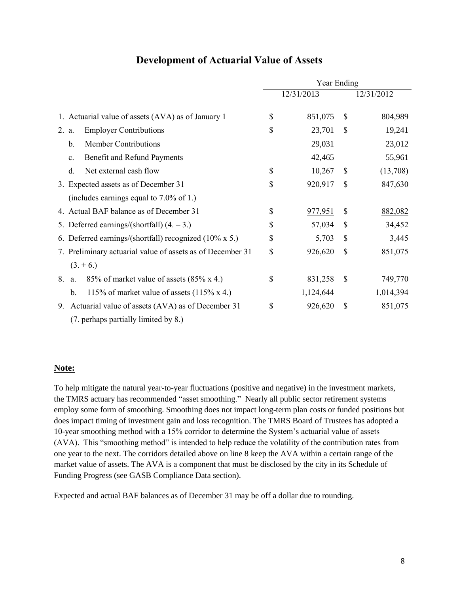|                                                                | Year Ending |                |                           |            |  |  |  |
|----------------------------------------------------------------|-------------|----------------|---------------------------|------------|--|--|--|
|                                                                |             | 12/31/2013     |                           | 12/31/2012 |  |  |  |
| 1. Actuarial value of assets (AVA) as of January 1             | \$          | 851,075        | S                         | 804,989    |  |  |  |
| <b>Employer Contributions</b><br>2. a.                         | \$          | 23,701         | $\mathbb{S}$              | 19,241     |  |  |  |
| <b>Member Contributions</b><br>b.                              |             | 29,031         |                           | 23,012     |  |  |  |
| Benefit and Refund Payments<br>$\mathbf{c}$ .                  |             | 42,465         |                           | 55,961     |  |  |  |
| Net external cash flow<br>d.                                   | \$          | 10,267         | \$                        | (13,708)   |  |  |  |
| 3. Expected assets as of December 31                           | \$          | 920,917        | $\mathcal{S}$             | 847,630    |  |  |  |
| (includes earnings equal to $7.0\%$ of 1.)                     |             |                |                           |            |  |  |  |
| 4. Actual BAF balance as of December 31                        | \$          | <u>977,951</u> | $\boldsymbol{\mathsf{S}}$ | 882,082    |  |  |  |
| 5. Deferred earnings/(shortfall) $(4, -3)$ .)                  | \$          | 57,034         | \$                        | 34,452     |  |  |  |
| 6. Deferred earnings/(shortfall) recognized $(10\% \times 5.)$ | \$          | 5,703          | \$                        | 3,445      |  |  |  |
| 7. Preliminary actuarial value of assets as of December 31     | \$          | 926,620        | $\mathcal{S}$             | 851,075    |  |  |  |
| $(3. + 6.)$                                                    |             |                |                           |            |  |  |  |
| 85% of market value of assets $(85\% \times 4.)$<br>8.<br>a.   | \$          | 831,258        | \$                        | 749,770    |  |  |  |
| 115% of market value of assets $(115\% \text{ x } 4)$ .<br>b.  |             | 1,124,644      |                           | 1,014,394  |  |  |  |
| Actuarial value of assets (AVA) as of December 31<br>9.        | \$          | 926,620        | \$                        | 851,075    |  |  |  |
| (7. perhaps partially limited by 8.)                           |             |                |                           |            |  |  |  |

# **Development of Actuarial Value of Assets**

# **Note:**

To help mitigate the natural year-to-year fluctuations (positive and negative) in the investment markets, the TMRS actuary has recommended "asset smoothing." Nearly all public sector retirement systems employ some form of smoothing. Smoothing does not impact long-term plan costs or funded positions but does impact timing of investment gain and loss recognition. The TMRS Board of Trustees has adopted a 10-year smoothing method with a 15% corridor to determine the System's actuarial value of assets (AVA). This "smoothing method" is intended to help reduce the volatility of the contribution rates from one year to the next. The corridors detailed above on line 8 keep the AVA within a certain range of the market value of assets. The AVA is a component that must be disclosed by the city in its Schedule of Funding Progress (see GASB Compliance Data section).

Expected and actual BAF balances as of December 31 may be off a dollar due to rounding.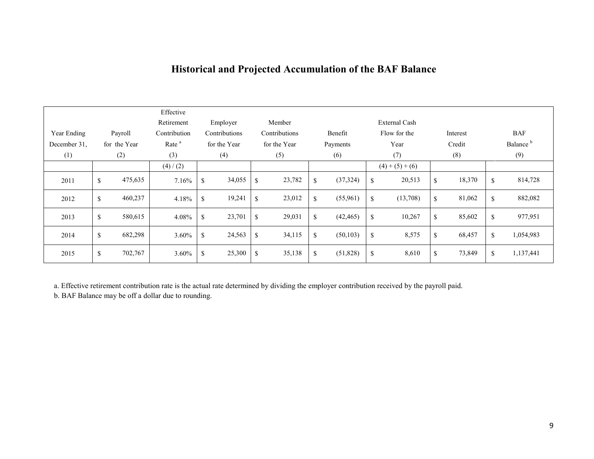# **Historical and Projected Accumulation of the BAF Balance**

|              |               | Effective<br>Retirement | Employer      |             | Member        |             |           |              | External Cash |              |              |                      |
|--------------|---------------|-------------------------|---------------|-------------|---------------|-------------|-----------|--------------|---------------|--------------|--------------|----------------------|
| Year Ending  | Payroll       | Contribution            | Contributions |             | Contributions |             | Benefit   |              | Flow for the  | Interest     |              | <b>BAF</b>           |
| December 31. | for the Year  | Rate <sup>a</sup>       | for the Year  |             | for the Year  |             | Payments  |              | Year          | Credit       |              | Balance <sup>b</sup> |
| (1)          | (2)           | (3)                     | (4)           |             | (5)           |             | (6)       |              | (7)           | (8)          |              | (9)                  |
|              |               | (4) / (2)               |               |             |               |             |           |              | $(4)+(5)+(6)$ |              |              |                      |
| 2011         | \$<br>475,635 | 7.16%                   | \$<br>34,055  | \$          | 23,782        | \$          | (37, 324) | \$           | 20,513        | \$<br>18,370 | $\mathbb{S}$ | 814,728              |
| 2012         | \$<br>460,237 | 4.18%                   | \$<br>19,241  | \$          | 23,012        | \$          | (55,961)  | \$           | (13,708)      | \$<br>81,062 | \$           | 882,082              |
| 2013         | \$<br>580,615 | 4.08%                   | \$<br>23,701  | $\mathbf S$ | 29,031        | $\mathbf S$ | (42, 465) | \$           | 10,267        | \$<br>85,602 | \$           | 977,951              |
| 2014         | \$<br>682,298 | $3.60\%$                | \$<br>24,563  | \$          | 34,115        | $\mathbf S$ | (50, 103) | \$           | 8,575         | \$<br>68,457 | \$           | 1,054,983            |
| 2015         | \$<br>702,767 | 3.60%                   | \$<br>25,300  | \$          | 35,138        | \$          | (51,828)  | $\mathbb{S}$ | 8,610         | \$<br>73,849 | \$           | 1,137,441            |

a. Effective retirement contribution rate is the actual rate determined by dividing the employer contribution received by the payroll paid.

b. BAF Balance may be off a dollar due to rounding.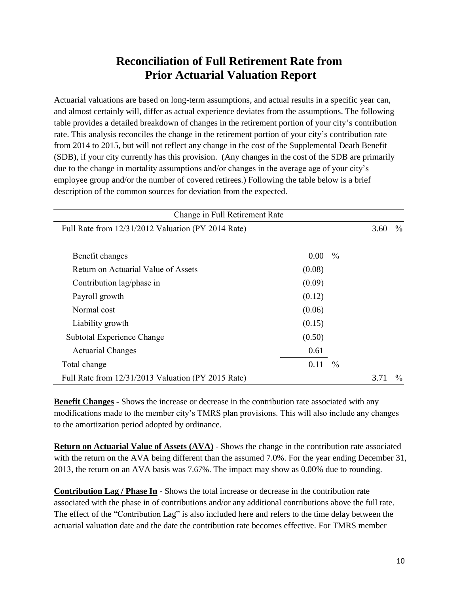# **Reconciliation of Full Retirement Rate from Prior Actuarial Valuation Report**

Actuarial valuations are based on long-term assumptions, and actual results in a specific year can, and almost certainly will, differ as actual experience deviates from the assumptions. The following table provides a detailed breakdown of changes in the retirement portion of your city's contribution rate. This analysis reconciles the change in the retirement portion of your city's contribution rate from 2014 to 2015, but will not reflect any change in the cost of the Supplemental Death Benefit (SDB), if your city currently has this provision. (Any changes in the cost of the SDB are primarily due to the change in mortality assumptions and/or changes in the average age of your city's employee group and/or the number of covered retirees.) Following the table below is a brief description of the common sources for deviation from the expected.

| Change in Full Retirement Rate                     |          |               |      |               |
|----------------------------------------------------|----------|---------------|------|---------------|
| Full Rate from 12/31/2012 Valuation (PY 2014 Rate) |          |               | 3.60 | $\%$          |
|                                                    |          |               |      |               |
| Benefit changes                                    | $0.00\,$ | $\frac{0}{0}$ |      |               |
| Return on Actuarial Value of Assets                | (0.08)   |               |      |               |
| Contribution lag/phase in                          | (0.09)   |               |      |               |
| Payroll growth                                     | (0.12)   |               |      |               |
| Normal cost                                        | (0.06)   |               |      |               |
| Liability growth                                   | (0.15)   |               |      |               |
| Subtotal Experience Change                         | (0.50)   |               |      |               |
| <b>Actuarial Changes</b>                           | 0.61     |               |      |               |
| Total change                                       | 0.11     | $\frac{0}{0}$ |      |               |
| Full Rate from 12/31/2013 Valuation (PY 2015 Rate) |          |               | 3.71 | $\frac{0}{0}$ |

**Benefit Changes** - Shows the increase or decrease in the contribution rate associated with any modifications made to the member city's TMRS plan provisions. This will also include any changes to the amortization period adopted by ordinance.

**Return on Actuarial Value of Assets (AVA)** - Shows the change in the contribution rate associated with the return on the AVA being different than the assumed 7.0%. For the year ending December 31, 2013, the return on an AVA basis was 7.67%. The impact may show as 0.00% due to rounding.

**Contribution Lag / Phase In** - Shows the total increase or decrease in the contribution rate associated with the phase in of contributions and/or any additional contributions above the full rate. The effect of the "Contribution Lag" is also included here and refers to the time delay between the actuarial valuation date and the date the contribution rate becomes effective. For TMRS member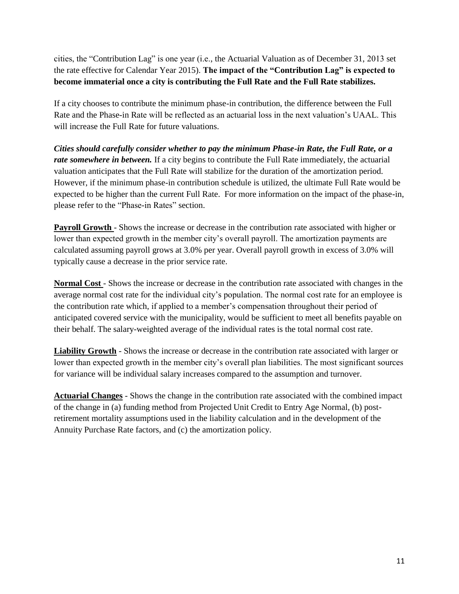cities, the "Contribution Lag" is one year (i.e., the Actuarial Valuation as of December 31, 2013 set the rate effective for Calendar Year 2015). **The impact of the "Contribution Lag" is expected to become immaterial once a city is contributing the Full Rate and the Full Rate stabilizes.**

If a city chooses to contribute the minimum phase-in contribution, the difference between the Full Rate and the Phase-in Rate will be reflected as an actuarial loss in the next valuation's UAAL. This will increase the Full Rate for future valuations.

*Cities should carefully consider whether to pay the minimum Phase-in Rate, the Full Rate, or a rate somewhere in between*. If a city begins to contribute the Full Rate immediately, the actuarial valuation anticipates that the Full Rate will stabilize for the duration of the amortization period. However, if the minimum phase-in contribution schedule is utilized, the ultimate Full Rate would be expected to be higher than the current Full Rate. For more information on the impact of the phase-in, please refer to the "Phase-in Rates" section.

**Payroll Growth** - Shows the increase or decrease in the contribution rate associated with higher or lower than expected growth in the member city's overall payroll. The amortization payments are calculated assuming payroll grows at 3.0% per year. Overall payroll growth in excess of 3.0% will typically cause a decrease in the prior service rate.

**Normal Cost** - Shows the increase or decrease in the contribution rate associated with changes in the average normal cost rate for the individual city's population. The normal cost rate for an employee is the contribution rate which, if applied to a member's compensation throughout their period of anticipated covered service with the municipality, would be sufficient to meet all benefits payable on their behalf. The salary-weighted average of the individual rates is the total normal cost rate.

**Liability Growth** - Shows the increase or decrease in the contribution rate associated with larger or lower than expected growth in the member city's overall plan liabilities. The most significant sources for variance will be individual salary increases compared to the assumption and turnover.

**Actuarial Changes** - Shows the change in the contribution rate associated with the combined impact of the change in (a) funding method from Projected Unit Credit to Entry Age Normal, (b) postretirement mortality assumptions used in the liability calculation and in the development of the Annuity Purchase Rate factors, and (c) the amortization policy.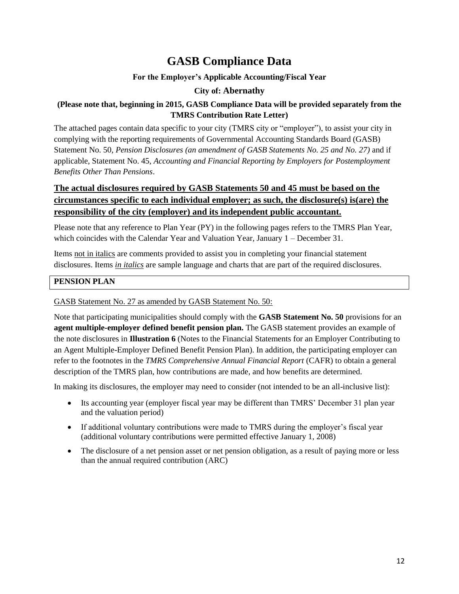# **GASB Compliance Data**

# **For the Employer's Applicable Accounting/Fiscal Year**

# **City of: Abernathy**

# **(Please note that, beginning in 2015, GASB Compliance Data will be provided separately from the TMRS Contribution Rate Letter)**

The attached pages contain data specific to your city (TMRS city or "employer"), to assist your city in complying with the reporting requirements of Governmental Accounting Standards Board (GASB) Statement No. 50, *Pension Disclosures (an amendment of GASB Statements No. 25 and No. 27)* and if applicable, Statement No. 45, *Accounting and Financial Reporting by Employers for Postemployment Benefits Other Than Pensions*.

# **The actual disclosures required by GASB Statements 50 and 45 must be based on the circumstances specific to each individual employer; as such, the disclosure(s) is(are) the responsibility of the city (employer) and its independent public accountant.**

Please note that any reference to Plan Year (PY) in the following pages refers to the TMRS Plan Year, which coincides with the Calendar Year and Valuation Year, January 1 – December 31.

Items not in italics are comments provided to assist you in completing your financial statement disclosures. Items *in italics* are sample language and charts that are part of the required disclosures.

# **PENSION PLAN**

# GASB Statement No. 27 as amended by GASB Statement No. 50:

Note that participating municipalities should comply with the **GASB Statement No. 50** provisions for an **agent multiple-employer defined benefit pension plan.** The GASB statement provides an example of the note disclosures in **Illustration 6** (Notes to the Financial Statements for an Employer Contributing to an Agent Multiple-Employer Defined Benefit Pension Plan). In addition, the participating employer can refer to the footnotes in the *TMRS Comprehensive Annual Financial Report* (CAFR) to obtain a general description of the TMRS plan, how contributions are made, and how benefits are determined.

In making its disclosures, the employer may need to consider (not intended to be an all-inclusive list):

- Its accounting year (employer fiscal year may be different than TMRS' December 31 plan year and the valuation period)
- If additional voluntary contributions were made to TMRS during the employer's fiscal year (additional voluntary contributions were permitted effective January 1, 2008)
- The disclosure of a net pension asset or net pension obligation, as a result of paying more or less than the annual required contribution (ARC)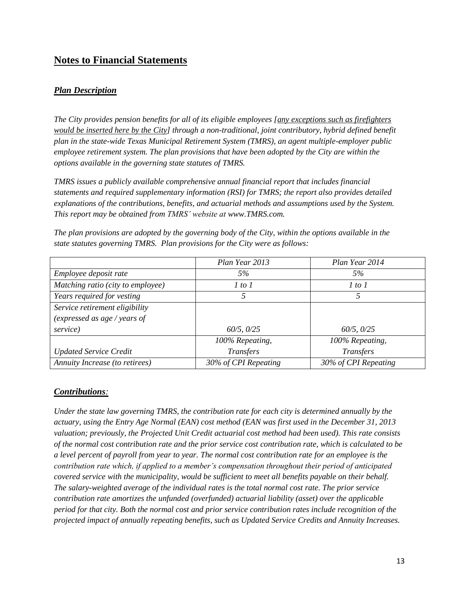# **Notes to Financial Statements**

# *Plan Description*

*The City provides pension benefits for all of its eligible employees [any exceptions such as firefighters would be inserted here by the City] through a non-traditional, joint contributory, hybrid defined benefit plan in the state-wide Texas Municipal Retirement System (TMRS), an agent multiple-employer public employee retirement system. The plan provisions that have been adopted by the City are within the options available in the governing state statutes of TMRS.*

*TMRS issues a publicly available comprehensive annual financial report that includes financial statements and required supplementary information (RSI) for TMRS; the report also provides detailed explanations of the contributions, benefits, and actuarial methods and assumptions used by the System. This report may be obtained from TMRS' website at www.TMRS.com.*

|                                   | Plan Year 2013       | Plan Year 2014       |
|-----------------------------------|----------------------|----------------------|
| Employee deposit rate             | 5%                   | 5%                   |
| Matching ratio (city to employee) | 1 to 1               | 1 to 1               |
| Years required for vesting        | 5                    | 5                    |
| Service retirement eligibility    |                      |                      |
| (expressed as age / years of      |                      |                      |
| service)                          | 60/5, 0/25           | 60/5, 0/25           |
|                                   | 100% Repeating,      | 100% Repeating,      |
| <b>Updated Service Credit</b>     | <b>Transfers</b>     | Transfers            |
| Annuity Increase (to retirees)    | 30% of CPI Repeating | 30% of CPI Repeating |

*The plan provisions are adopted by the governing body of the City, within the options available in the state statutes governing TMRS. Plan provisions for the City were as follows:*

# *Contributions:*

*Under the state law governing TMRS, the contribution rate for each city is determined annually by the actuary, using the Entry Age Normal (EAN) cost method (EAN was first used in the December 31, 2013 valuation; previously, the Projected Unit Credit actuarial cost method had been used). This rate consists of the normal cost contribution rate and the prior service cost contribution rate, which is calculated to be a level percent of payroll from year to year. The normal cost contribution rate for an employee is the contribution rate which, if applied to a member's compensation throughout their period of anticipated covered service with the municipality, would be sufficient to meet all benefits payable on their behalf. The salary-weighted average of the individual rates is the total normal cost rate. The prior service contribution rate amortizes the unfunded (overfunded) actuarial liability (asset) over the applicable period for that city. Both the normal cost and prior service contribution rates include recognition of the projected impact of annually repeating benefits, such as Updated Service Credits and Annuity Increases.*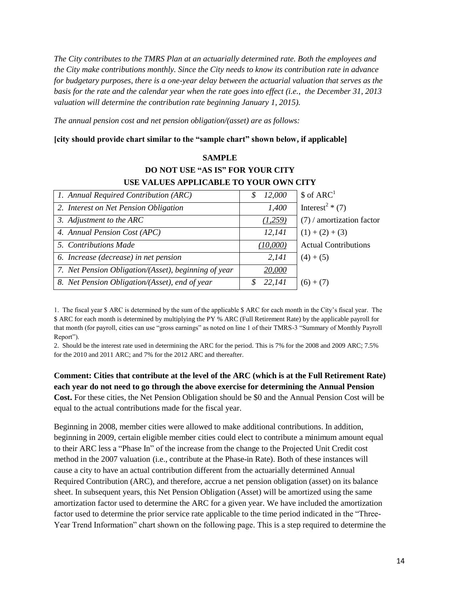*The City contributes to the TMRS Plan at an actuarially determined rate. Both the employees and the City make contributions monthly. Since the City needs to know its contribution rate in advance for budgetary purposes, there is a one-year delay between the actuarial valuation that serves as the basis for the rate and the calendar year when the rate goes into effect (i.e., the December 31, 2013 valuation will determine the contribution rate beginning January 1, 2015).* 

 $S$ **AMPLE** 

*The annual pension cost and net pension obligation/(asset) are as follows:*

### **[city should provide chart similar to the "sample chart" shown below, if applicable]**

| SAMITLE                                              |                         |                              |  |  |  |  |  |  |  |
|------------------------------------------------------|-------------------------|------------------------------|--|--|--|--|--|--|--|
| <b>DO NOT USE "AS IS" FOR YOUR CITY</b>              |                         |                              |  |  |  |  |  |  |  |
| USE VALUES APPLICABLE TO YOUR OWN CITY               |                         |                              |  |  |  |  |  |  |  |
| 1. Annual Required Contribution (ARC)                | 12,000<br>S             | \$ of ARC <sup>1</sup>       |  |  |  |  |  |  |  |
| 2. Interest on Net Pension Obligation                | 1,400                   | Interest <sup>2</sup> $*(7)$ |  |  |  |  |  |  |  |
| 3. Adjustment to the ARC                             | (1,259)                 | $(7)$ / amortization factor  |  |  |  |  |  |  |  |
| 4. Annual Pension Cost (APC)                         | 12,141                  | $(1) + (2) + (3)$            |  |  |  |  |  |  |  |
| 5. Contributions Made                                | (10,000)                | <b>Actual Contributions</b>  |  |  |  |  |  |  |  |
| 6. Increase (decrease) in net pension                | 2,141                   | $(4) + (5)$                  |  |  |  |  |  |  |  |
| 7. Net Pension Obligation/(Asset), beginning of year | 20,000                  |                              |  |  |  |  |  |  |  |
| 8. Net Pension Obligation/(Asset), end of year       | 22,141<br>$\mathcal{S}$ | $(6) + (7)$                  |  |  |  |  |  |  |  |

1. The fiscal year \$ ARC is determined by the sum of the applicable \$ ARC for each month in the City's fiscal year. The \$ ARC for each month is determined by multiplying the PY % ARC (Full Retirement Rate) by the applicable payroll for that month (for payroll, cities can use "gross earnings" as noted on line 1 of their TMRS-3 "Summary of Monthly Payroll Report").

2. Should be the interest rate used in determining the ARC for the period. This is 7% for the 2008 and 2009 ARC; 7.5% for the 2010 and 2011 ARC; and 7% for the 2012 ARC and thereafter.

**Comment: Cities that contribute at the level of the ARC (which is at the Full Retirement Rate) each year do not need to go through the above exercise for determining the Annual Pension Cost.** For these cities, the Net Pension Obligation should be \$0 and the Annual Pension Cost will be equal to the actual contributions made for the fiscal year.

Beginning in 2008, member cities were allowed to make additional contributions. In addition, beginning in 2009, certain eligible member cities could elect to contribute a minimum amount equal to their ARC less a "Phase In" of the increase from the change to the Projected Unit Credit cost method in the 2007 valuation (i.e., contribute at the Phase-in Rate). Both of these instances will cause a city to have an actual contribution different from the actuarially determined Annual Required Contribution (ARC), and therefore, accrue a net pension obligation (asset) on its balance sheet. In subsequent years, this Net Pension Obligation (Asset) will be amortized using the same amortization factor used to determine the ARC for a given year. We have included the amortization factor used to determine the prior service rate applicable to the time period indicated in the "Three-Year Trend Information" chart shown on the following page. This is a step required to determine the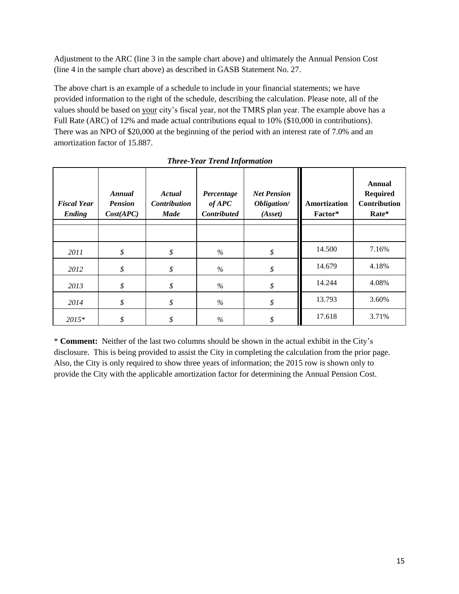Adjustment to the ARC (line 3 in the sample chart above) and ultimately the Annual Pension Cost (line 4 in the sample chart above) as described in GASB Statement No. 27.

The above chart is an example of a schedule to include in your financial statements; we have provided information to the right of the schedule, describing the calculation. Please note, all of the values should be based on your city's fiscal year, not the TMRS plan year. The example above has a Full Rate (ARC) of 12% and made actual contributions equal to 10% (\$10,000 in contributions). There was an NPO of \$20,000 at the beginning of the period with an interest rate of 7.0% and an amortization factor of 15.887.

| <b>Fiscal Year</b><br>Ending | Annual<br><b>Pension</b><br>Cost(APC) | Actual<br><b>Contribution</b><br><b>Made</b> | Percentage<br>$of$ APC<br><b>Contributed</b> | <b>Net Pension</b><br>Obligation/<br>(Asset) | Amortization<br>Factor* | <b>Annual</b><br><b>Required</b><br><b>Contribution</b><br>Rate* |
|------------------------------|---------------------------------------|----------------------------------------------|----------------------------------------------|----------------------------------------------|-------------------------|------------------------------------------------------------------|
|                              |                                       |                                              |                                              |                                              |                         |                                                                  |
| 2011                         | \$                                    | \$                                           | %                                            | \$                                           | 14.500                  | 7.16%                                                            |
| 2012                         | \$                                    | \$                                           | $\%$                                         | \$                                           | 14.679                  | 4.18%                                                            |
| 2013                         | \$                                    | \$                                           | $\%$                                         | \$                                           | 14.244                  | 4.08%                                                            |
| 2014                         | \$                                    | \$                                           | $\%$                                         | \$                                           | 13.793                  | 3.60%                                                            |
| $2015*$                      | \$                                    | \$                                           | $\%$                                         | \$                                           | 17.618                  | 3.71%                                                            |

*Three-Year Trend Information*

\* **Comment:** Neither of the last two columns should be shown in the actual exhibit in the City's disclosure. This is being provided to assist the City in completing the calculation from the prior page. Also, the City is only required to show three years of information; the 2015 row is shown only to provide the City with the applicable amortization factor for determining the Annual Pension Cost.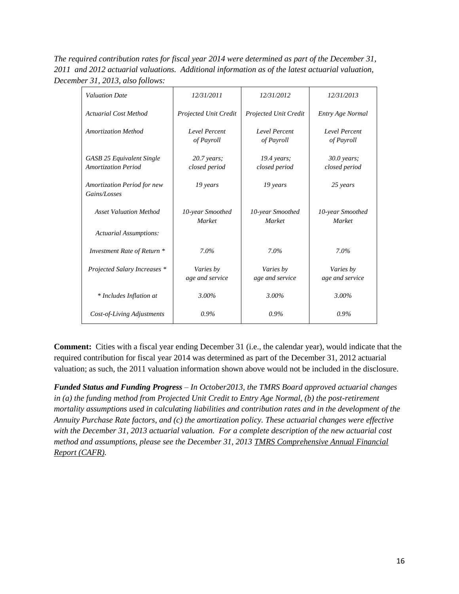*The required contribution rates for fiscal year 2014 were determined as part of the December 31, 2011 and 2012 actuarial valuations. Additional information as of the latest actuarial valuation, December 31, 2013, also follows:*

| <b>Valuation Date</b>                                          | 12/31/2011                        | 12/31/2012                        | 12/31/2013                     |
|----------------------------------------------------------------|-----------------------------------|-----------------------------------|--------------------------------|
| <b>Actuarial Cost Method</b>                                   | Projected Unit Credit             | Projected Unit Credit             | Entry Age Normal               |
| <b>Amortization Method</b>                                     | Level Percent<br>of Payroll       | Level Percent<br>of Payroll       | Level Percent<br>of Payroll    |
| <b>GASB 25 Equivalent Single</b><br><b>Amortization Period</b> | $20.7$ years;<br>closed period    | $19.4$ years;<br>closed period    | $30.0$ years;<br>closed period |
| Amortization Period for new<br>Gains/Losses                    | 19 years                          | 19 years                          | 25 years                       |
| <b>Asset Valuation Method</b>                                  | 10-year Smoothed<br><b>Market</b> | 10-year Smoothed<br><b>Market</b> | 10-year Smoothed<br>Market     |
| <b>Actuarial Assumptions:</b>                                  |                                   |                                   |                                |
| Investment Rate of Return *                                    | 7.0%                              | 7.0%                              | $7.0\%$                        |
| Projected Salary Increases *                                   | Varies by<br>age and service      | Varies by<br>age and service      | Varies by<br>age and service   |
| * Includes Inflation at                                        | 3.00%                             | 3.00%                             | 3.00%                          |
| Cost-of-Living Adjustments                                     | $0.9\%$                           | $0.9\%$                           | $0.9\%$                        |

**Comment:** Cities with a fiscal year ending December 31 (i.e., the calendar year), would indicate that the required contribution for fiscal year 2014 was determined as part of the December 31, 2012 actuarial valuation; as such, the 2011 valuation information shown above would not be included in the disclosure.

*Funded Status and Funding Progress – In October2013, the TMRS Board approved actuarial changes in (a) the funding method from Projected Unit Credit to Entry Age Normal, (b) the post-retirement mortality assumptions used in calculating liabilities and contribution rates and in the development of the Annuity Purchase Rate factors, and (c) the amortization policy. These actuarial changes were effective with the December 31, 2013 actuarial valuation. For a complete description of the new actuarial cost method and assumptions, please see the December 31, 2013 TMRS Comprehensive Annual Financial Report (CAFR).*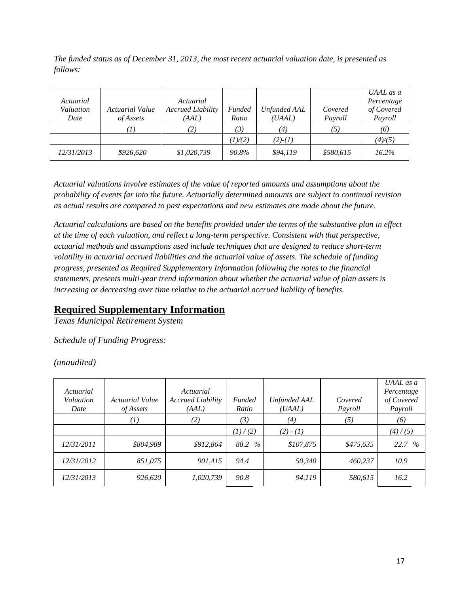*The funded status as of December 31, 2013, the most recent actuarial valuation date, is presented as follows:*

| Actuarial<br>Valuation<br>Date | <b>Actuarial Value</b><br>of Assets | Actuarial<br><b>Accrued Liability</b><br>(AAL) | <b>Funded</b><br>Ratio | Unfunded AAL<br>(UAAL) | Covered<br>Payroll | UAAL as a<br>Percentage<br>of Covered<br>Payroll |
|--------------------------------|-------------------------------------|------------------------------------------------|------------------------|------------------------|--------------------|--------------------------------------------------|
|                                | $\left\langle T\right\rangle$       | (2)                                            | (3)                    | (4)                    |                    | (6)                                              |
|                                |                                     |                                                | 1)/(2)                 | $(2)-(1)$              |                    | (4)/(5)                                          |
| <i>12/31/2013</i>              | \$926,620                           | \$1,020,739                                    | 90.8%                  | \$94,119               | \$580,615          | 16.2%                                            |

*Actuarial valuations involve estimates of the value of reported amounts and assumptions about the probability of events far into the future. Actuarially determined amounts are subject to continual revision as actual results are compared to past expectations and new estimates are made about the future.*

*Actuarial calculations are based on the benefits provided under the terms of the substantive plan in effect at the time of each valuation, and reflect a long-term perspective. Consistent with that perspective, actuarial methods and assumptions used include techniques that are designed to reduce short-term volatility in actuarial accrued liabilities and the actuarial value of assets. The schedule of funding progress, presented as Required Supplementary Information following the notes to the financial statements, presents multi-year trend information about whether the actuarial value of plan assets is increasing or decreasing over time relative to the actuarial accrued liability of benefits.*

# **Required Supplementary Information**

*Texas Municipal Retirement System*

*Schedule of Funding Progress:*

*(unaudited)*

| Actuarial<br>Valuation<br>Date | Actuarial Value<br><i>of Assets</i> | Actuarial<br><b>Accrued Liability</b><br>(AAL) | Funded<br>Ratio | Unfunded AAL<br>(UAAL) | Covered<br>Payroll | UAAL as a<br>Percentage<br>of Covered<br>Payroll |
|--------------------------------|-------------------------------------|------------------------------------------------|-----------------|------------------------|--------------------|--------------------------------------------------|
|                                | $^{(1)}$                            | (2)                                            | (3)             | (4)                    | (5)                | (6)                                              |
|                                |                                     |                                                | (1)/(2)         | $(2) - (1)$            |                    | (4)/(5)                                          |
| 12/31/2011                     | \$804,989                           | \$912.864                                      | $\%$<br>88.2    | \$107,875              | \$475,635          | 22.7 %                                           |
| 12/31/2012                     | 851.075                             | 901,415                                        | 94.4            | 50,340                 | 460.237            | 10.9                                             |
| <i>12/31/2013</i>              | 926,620                             | 1,020,739                                      | 90.8            | 94,119                 | 580,615            | 16.2                                             |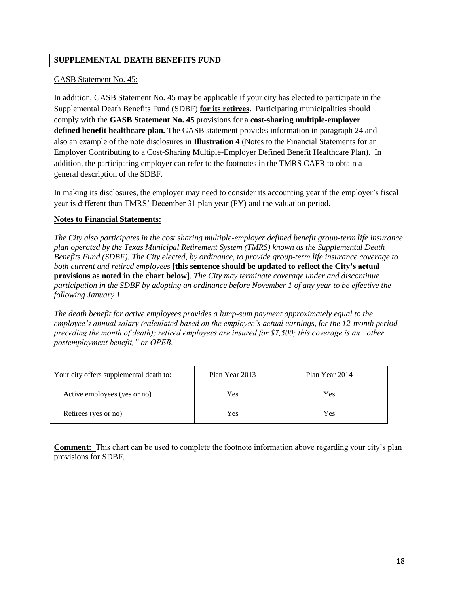# **SUPPLEMENTAL DEATH BENEFITS FUND**

### GASB Statement No. 45:

In addition, GASB Statement No. 45 may be applicable if your city has elected to participate in the Supplemental Death Benefits Fund (SDBF) **for its retirees**. Participating municipalities should comply with the **GASB Statement No. 45** provisions for a **cost-sharing multiple-employer defined benefit healthcare plan.** The GASB statement provides information in paragraph 24 and also an example of the note disclosures in **Illustration 4** (Notes to the Financial Statements for an Employer Contributing to a Cost-Sharing Multiple-Employer Defined Benefit Healthcare Plan). In addition, the participating employer can refer to the footnotes in the TMRS CAFR to obtain a general description of the SDBF.

In making its disclosures, the employer may need to consider its accounting year if the employer's fiscal year is different than TMRS' December 31 plan year (PY) and the valuation period.

### **Notes to Financial Statements:**

*The City also participates in the cost sharing multiple-employer defined benefit group-term life insurance plan operated by the Texas Municipal Retirement System (TMRS) known as the Supplemental Death Benefits Fund (SDBF). The City elected, by ordinance, to provide group-term life insurance coverage to both current and retired employees* **[this sentence should be updated to reflect the City's actual provisions as noted in the chart below**]. *The City may terminate coverage under and discontinue participation in the SDBF by adopting an ordinance before November 1 of any year to be effective the following January 1.*

*The death benefit for active employees provides a lump-sum payment approximately equal to the employee's annual salary (calculated based on the employee's actual earnings, for the 12-month period preceding the month of death); retired employees are insured for \$7,500; this coverage is an "other postemployment benefit," or OPEB.* 

| Your city offers supplemental death to: | Plan Year 2013 | Plan Year 2014 |
|-----------------------------------------|----------------|----------------|
| Active employees (yes or no)            | Yes            | Yes            |
| Retirees (yes or no)                    | Yes            | Yes            |

**Comment:** This chart can be used to complete the footnote information above regarding your city's plan provisions for SDBF.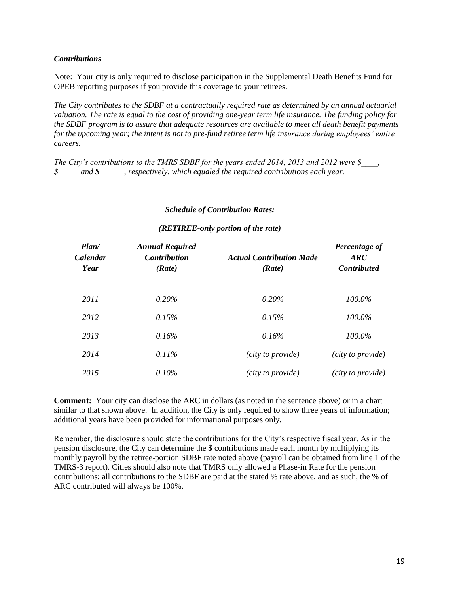### *Contributions*

Note: Your city is only required to disclose participation in the Supplemental Death Benefits Fund for OPEB reporting purposes if you provide this coverage to your retirees.

*The City contributes to the SDBF at a contractually required rate as determined by an annual actuarial valuation. The rate is equal to the cost of providing one-year term life insurance. The funding policy for the SDBF program is to assure that adequate resources are available to meet all death benefit payments for the upcoming year; the intent is not to pre-fund retiree term life insurance during employees' entire careers.*

*The City's contributions to the TMRS SDBF for the years ended 2014, 2013 and 2012 were \$\_\_\_\_, \$\_\_\_\_\_ and \$\_\_\_\_\_\_, respectively, which equaled the required contributions each year.*

#### *Schedule of Contribution Rates:*

#### *(RETIREE-only portion of the rate)*

| Plan/<br>Calendar<br>Year | <b>Annual Required</b><br><b>Contribution</b><br>(Rate) | <b>Actual Contribution Made</b><br>(Rate) | Percentage of<br>$\boldsymbol{ARC}$<br><b>Contributed</b> |
|---------------------------|---------------------------------------------------------|-------------------------------------------|-----------------------------------------------------------|
| 2011                      | 0.20%                                                   | 0.20%                                     | $100.0\%$                                                 |
| 2012                      | 0.15%                                                   | 0.15%                                     | 100.0%                                                    |
| 2013                      | 0.16%                                                   | 0.16%                                     | 100.0%                                                    |
| 2014                      | $0.11\%$                                                | (city to provide)                         | (city to provide)                                         |
| 2015                      | $0.10\%$                                                | (city to provide)                         | (city to provide)                                         |

**Comment:** Your city can disclose the ARC in dollars (as noted in the sentence above) or in a chart similar to that shown above. In addition, the City is only required to show three years of information; additional years have been provided for informational purposes only.

Remember, the disclosure should state the contributions for the City's respective fiscal year. As in the pension disclosure, the City can determine the \$ contributions made each month by multiplying its monthly payroll by the retiree-portion SDBF rate noted above (payroll can be obtained from line 1 of the TMRS-3 report). Cities should also note that TMRS only allowed a Phase-in Rate for the pension contributions; all contributions to the SDBF are paid at the stated % rate above, and as such, the % of ARC contributed will always be 100%.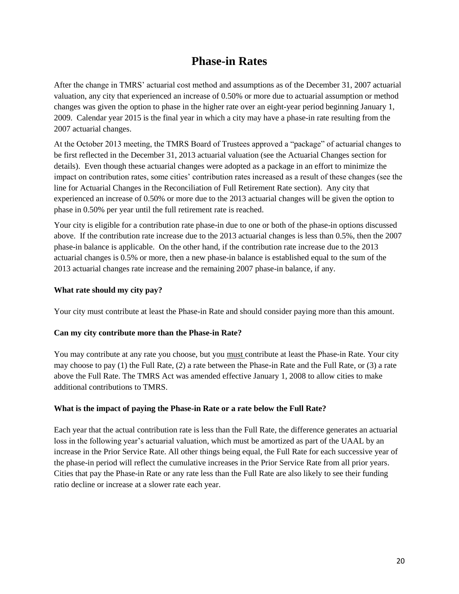# **Phase-in Rates**

After the change in TMRS' actuarial cost method and assumptions as of the December 31, 2007 actuarial valuation, any city that experienced an increase of 0.50% or more due to actuarial assumption or method changes was given the option to phase in the higher rate over an eight-year period beginning January 1, 2009. Calendar year 2015 is the final year in which a city may have a phase-in rate resulting from the 2007 actuarial changes.

At the October 2013 meeting, the TMRS Board of Trustees approved a "package" of actuarial changes to be first reflected in the December 31, 2013 actuarial valuation (see the Actuarial Changes section for details). Even though these actuarial changes were adopted as a package in an effort to minimize the impact on contribution rates, some cities' contribution rates increased as a result of these changes (see the line for Actuarial Changes in the Reconciliation of Full Retirement Rate section). Any city that experienced an increase of 0.50% or more due to the 2013 actuarial changes will be given the option to phase in 0.50% per year until the full retirement rate is reached.

Your city is eligible for a contribution rate phase-in due to one or both of the phase-in options discussed above. If the contribution rate increase due to the 2013 actuarial changes is less than 0.5%, then the 2007 phase-in balance is applicable. On the other hand, if the contribution rate increase due to the 2013 actuarial changes is 0.5% or more, then a new phase-in balance is established equal to the sum of the 2013 actuarial changes rate increase and the remaining 2007 phase-in balance, if any.

# **What rate should my city pay?**

Your city must contribute at least the Phase-in Rate and should consider paying more than this amount.

# **Can my city contribute more than the Phase-in Rate?**

You may contribute at any rate you choose, but you must contribute at least the Phase-in Rate. Your city may choose to pay (1) the Full Rate, (2) a rate between the Phase-in Rate and the Full Rate, or (3) a rate above the Full Rate. The TMRS Act was amended effective January 1, 2008 to allow cities to make additional contributions to TMRS.

# **What is the impact of paying the Phase-in Rate or a rate below the Full Rate?**

Each year that the actual contribution rate is less than the Full Rate, the difference generates an actuarial loss in the following year's actuarial valuation, which must be amortized as part of the UAAL by an increase in the Prior Service Rate. All other things being equal, the Full Rate for each successive year of the phase-in period will reflect the cumulative increases in the Prior Service Rate from all prior years. Cities that pay the Phase-in Rate or any rate less than the Full Rate are also likely to see their funding ratio decline or increase at a slower rate each year.